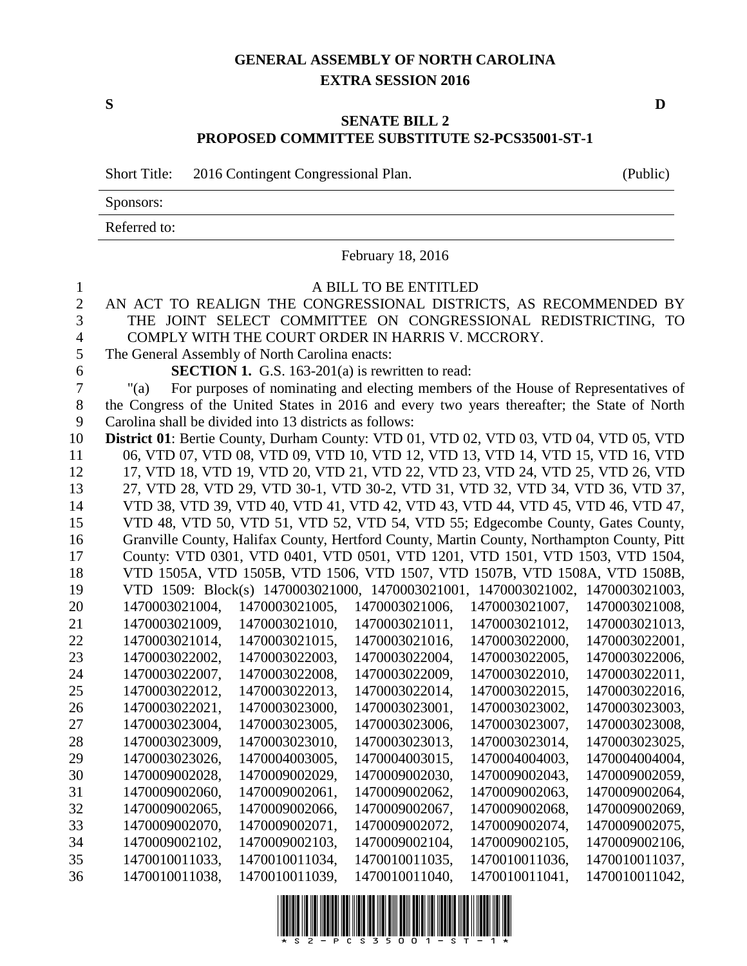## **GENERAL ASSEMBLY OF NORTH CAROLINA EXTRA SESSION 2016**

## **SENATE BILL 2 PROPOSED COMMITTEE SUBSTITUTE S2-PCS35001-ST-1**

|                | <b>Short Title:</b>                                                                          | 2016 Contingent Congressional Plan.                     |                       |                                                                                            | (Public)       |
|----------------|----------------------------------------------------------------------------------------------|---------------------------------------------------------|-----------------------|--------------------------------------------------------------------------------------------|----------------|
|                | Sponsors:                                                                                    |                                                         |                       |                                                                                            |                |
|                | Referred to:                                                                                 |                                                         |                       |                                                                                            |                |
|                |                                                                                              |                                                         | February 18, 2016     |                                                                                            |                |
| 1              |                                                                                              |                                                         | A BILL TO BE ENTITLED |                                                                                            |                |
| $\overline{2}$ | AN ACT TO REALIGN THE CONGRESSIONAL DISTRICTS, AS RECOMMENDED BY                             |                                                         |                       |                                                                                            |                |
| 3              |                                                                                              |                                                         |                       | THE JOINT SELECT COMMITTEE ON CONGRESSIONAL REDISTRICTING, TO                              |                |
| $\overline{4}$ |                                                                                              | COMPLY WITH THE COURT ORDER IN HARRIS V. MCCRORY.       |                       |                                                                                            |                |
| 5              | The General Assembly of North Carolina enacts:                                               |                                                         |                       |                                                                                            |                |
| 6              |                                                                                              | <b>SECTION 1.</b> G.S. 163-201(a) is rewritten to read: |                       |                                                                                            |                |
| 7              | " $(a)$                                                                                      |                                                         |                       | For purposes of nominating and electing members of the House of Representatives of         |                |
| 8              | the Congress of the United States in 2016 and every two years thereafter; the State of North |                                                         |                       |                                                                                            |                |
| 9              | Carolina shall be divided into 13 districts as follows:                                      |                                                         |                       |                                                                                            |                |
| 10             | District 01: Bertie County, Durham County: VTD 01, VTD 02, VTD 03, VTD 04, VTD 05, VTD       |                                                         |                       |                                                                                            |                |
| 11             |                                                                                              |                                                         |                       | 06, VTD 07, VTD 08, VTD 09, VTD 10, VTD 12, VTD 13, VTD 14, VTD 15, VTD 16, VTD            |                |
| 12             |                                                                                              |                                                         |                       | 17, VTD 18, VTD 19, VTD 20, VTD 21, VTD 22, VTD 23, VTD 24, VTD 25, VTD 26, VTD            |                |
| 13             |                                                                                              |                                                         |                       | 27, VTD 28, VTD 29, VTD 30-1, VTD 30-2, VTD 31, VTD 32, VTD 34, VTD 36, VTD 37,            |                |
| 14             |                                                                                              |                                                         |                       | VTD 38, VTD 39, VTD 40, VTD 41, VTD 42, VTD 43, VTD 44, VTD 45, VTD 46, VTD 47,            |                |
| 15             |                                                                                              |                                                         |                       | VTD 48, VTD 50, VTD 51, VTD 52, VTD 54, VTD 55; Edgecombe County, Gates County,            |                |
| 16             |                                                                                              |                                                         |                       | Granville County, Halifax County, Hertford County, Martin County, Northampton County, Pitt |                |
| 17             |                                                                                              |                                                         |                       | County: VTD 0301, VTD 0401, VTD 0501, VTD 1201, VTD 1501, VTD 1503, VTD 1504,              |                |
| 18             |                                                                                              |                                                         |                       | VTD 1505A, VTD 1505B, VTD 1506, VTD 1507, VTD 1507B, VTD 1508A, VTD 1508B,                 |                |
| 19             |                                                                                              |                                                         |                       | VTD 1509: Block(s) 1470003021000, 1470003021001, 1470003021002, 1470003021003,             |                |
| 20             | 1470003021004,                                                                               | 1470003021005,                                          | 1470003021006,        | 1470003021007,                                                                             | 1470003021008, |
| 21             | 1470003021009,                                                                               | 1470003021010,                                          | 1470003021011,        | 1470003021012,                                                                             | 1470003021013, |
| 22             | 1470003021014,                                                                               | 1470003021015,                                          | 1470003021016,        | 1470003022000,                                                                             | 1470003022001, |
| 23             | 1470003022002,                                                                               | 1470003022003,                                          | 1470003022004,        | 1470003022005,                                                                             | 1470003022006, |
| 24             | 1470003022007,                                                                               | 1470003022008,                                          | 1470003022009,        | 1470003022010,                                                                             | 1470003022011, |
| 25             | 1470003022012,                                                                               | 1470003022013,                                          | 1470003022014,        | 1470003022015,                                                                             | 1470003022016, |
| 26             | 1470003022021,                                                                               | 1470003023000,                                          | 1470003023001,        | 1470003023002,                                                                             | 1470003023003, |
| 27             | 1470003023004,                                                                               | 1470003023005,                                          | 1470003023006,        | 1470003023007,                                                                             | 1470003023008, |
| 28             | 1470003023009,                                                                               | 1470003023010,                                          | 1470003023013,        | 1470003023014,                                                                             | 1470003023025, |
| 29             | 1470003023026,                                                                               | 1470004003005,                                          | 1470004003015,        | 1470004004003,                                                                             | 1470004004004, |
| 30             | 1470009002028,                                                                               | 1470009002029,                                          | 1470009002030,        | 1470009002043,                                                                             | 1470009002059, |
| 31             | 1470009002060,                                                                               | 1470009002061,                                          | 1470009002062,        | 1470009002063,                                                                             | 1470009002064, |
| 32             | 1470009002065,                                                                               | 1470009002066,                                          | 1470009002067,        | 1470009002068,                                                                             | 1470009002069, |
| 33             | 1470009002070,                                                                               | 1470009002071,                                          | 1470009002072,        | 1470009002074,                                                                             | 1470009002075, |
| 34             | 1470009002102,                                                                               | 1470009002103,                                          | 1470009002104,        | 1470009002105,                                                                             | 1470009002106, |
| 35             | 1470010011033,                                                                               | 1470010011034,                                          | 1470010011035,        | 1470010011036,                                                                             | 1470010011037, |
| 36             | 1470010011038,                                                                               | 1470010011039,                                          | 1470010011040,        | 1470010011041,                                                                             | 1470010011042, |

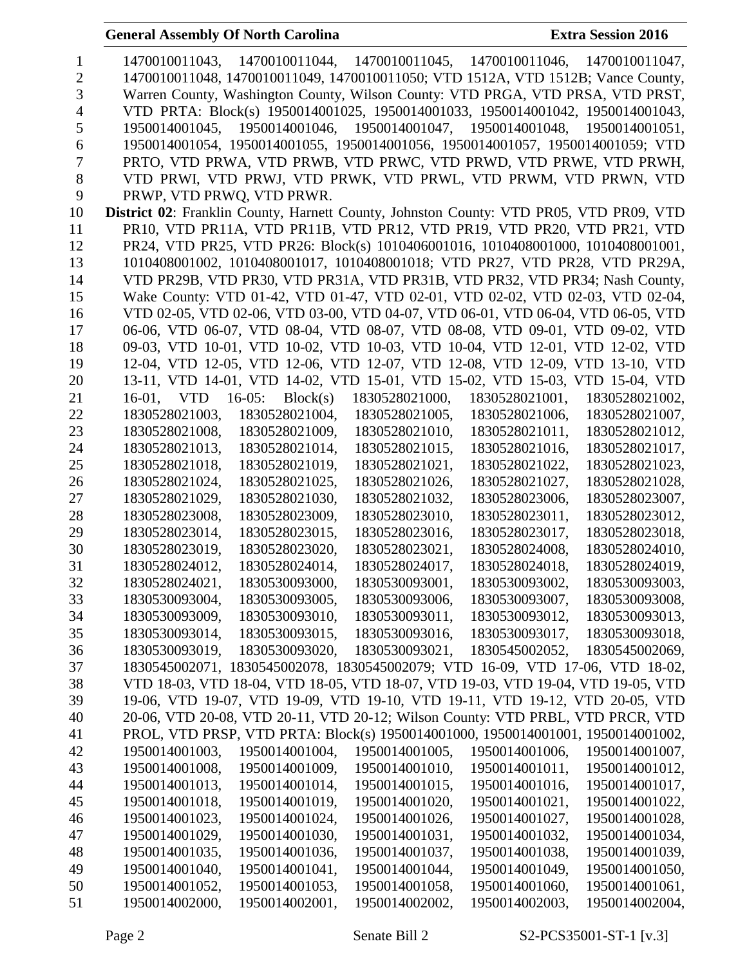| 1        | 1470010011043, 1470010011044, 1470010011045, 1470010011046, 1470010011047,                                                                   |
|----------|----------------------------------------------------------------------------------------------------------------------------------------------|
| 2        | 1470010011048, 1470010011049, 1470010011050; VTD 1512A, VTD 1512B; Vance County,                                                             |
| 3        | Warren County, Washington County, Wilson County: VTD PRGA, VTD PRSA, VTD PRST,                                                               |
| 4        | VTD PRTA: Block(s) 1950014001025, 1950014001033, 1950014001042, 1950014001043,                                                               |
| 5        | 1950014001045, 1950014001046, 1950014001047, 1950014001048, 1950014001051,                                                                   |
| 6        | 1950014001054, 1950014001055, 1950014001056, 1950014001057, 1950014001059; VTD                                                               |
| 7        | PRTO, VTD PRWA, VTD PRWB, VTD PRWC, VTD PRWD, VTD PRWE, VTD PRWH,                                                                            |
| 8        | VTD PRWI, VTD PRWJ, VTD PRWK, VTD PRWL, VTD PRWM, VTD PRWN, VTD                                                                              |
| 9        | PRWP, VTD PRWQ, VTD PRWR.                                                                                                                    |
| 10       | District 02: Franklin County, Harnett County, Johnston County: VTD PR05, VTD PR09, VTD                                                       |
| 11       | PR10, VTD PR11A, VTD PR11B, VTD PR12, VTD PR19, VTD PR20, VTD PR21, VTD                                                                      |
| 12       | PR24, VTD PR25, VTD PR26: Block(s) 1010406001016, 1010408001000, 1010408001001,                                                              |
| 13       | 1010408001002, 1010408001017, 1010408001018; VTD PR27, VTD PR28, VTD PR29A,                                                                  |
| 14       | VTD PR29B, VTD PR30, VTD PR31A, VTD PR31B, VTD PR32, VTD PR34; Nash County,                                                                  |
| 15       | Wake County: VTD 01-42, VTD 01-47, VTD 02-01, VTD 02-02, VTD 02-03, VTD 02-04,                                                               |
| 16       | VTD 02-05, VTD 02-06, VTD 03-00, VTD 04-07, VTD 06-01, VTD 06-04, VTD 06-05, VTD                                                             |
| 17       | 06-06, VTD 06-07, VTD 08-04, VTD 08-07, VTD 08-08, VTD 09-01, VTD 09-02, VTD                                                                 |
| 18       | 09-03, VTD 10-01, VTD 10-02, VTD 10-03, VTD 10-04, VTD 12-01, VTD 12-02, VTD                                                                 |
| 19       | 12-04, VTD 12-05, VTD 12-06, VTD 12-07, VTD 12-08, VTD 12-09, VTD 13-10, VTD                                                                 |
| 20       | 13-11, VTD 14-01, VTD 14-02, VTD 15-01, VTD 15-02, VTD 15-03, VTD 15-04, VTD                                                                 |
| 21       | 16-01, VTD 16-05: Block(s)<br>1830528021000,<br>1830528021001,<br>1830528021002,                                                             |
| 22       | 1830528021003,<br>1830528021004,<br>1830528021005,<br>1830528021006,<br>1830528021007,                                                       |
| 23       | 1830528021008,<br>1830528021009,<br>1830528021010,<br>1830528021011,<br>1830528021012,                                                       |
| 24       | 1830528021013,<br>1830528021014,<br>1830528021017,<br>1830528021015,<br>1830528021016,                                                       |
| 25       | 1830528021018,<br>1830528021019,<br>1830528021021,<br>1830528021022,<br>1830528021023,                                                       |
| 26       | 1830528021024,<br>1830528021025,<br>1830528021026,<br>1830528021027,<br>1830528021028,                                                       |
| 27       | 1830528021029,<br>1830528021030,<br>1830528021032,<br>1830528023006,<br>1830528023007,                                                       |
| 28       | 1830528023008,<br>1830528023009,<br>1830528023010,<br>1830528023011,<br>1830528023012,                                                       |
| 29       | 1830528023014,<br>1830528023015,<br>1830528023016,<br>1830528023017,<br>1830528023018,                                                       |
| 30       | 1830528023019.<br>1830528023020,<br>1830528023021,<br>1830528024008,<br>1830528024010,                                                       |
| 31       | 1830528024012,<br>1830528024014,<br>1830528024017,<br>1830528024018,<br>1830528024019,                                                       |
| 32       | 1830528024021,<br>1830530093000,<br>1830530093001,<br>1830530093002.<br>1830530093003.                                                       |
| 33       | 1830530093006,<br>1830530093004,<br>1830530093005,<br>1830530093007,<br>1830530093008,                                                       |
| 34       | 1830530093009,<br>1830530093010,<br>1830530093011,<br>1830530093012,<br>1830530093013,                                                       |
| 35       | 1830530093014,<br>1830530093015,<br>1830530093016,<br>1830530093017,<br>1830530093018,                                                       |
| 36       | 1830530093019,<br>1830530093020,<br>1830530093021,<br>1830545002052,<br>1830545002069,                                                       |
| 37       | 1830545002071, 1830545002078, 1830545002079; VTD 16-09, VTD 17-06, VTD 18-02,                                                                |
| 38       | VTD 18-03, VTD 18-04, VTD 18-05, VTD 18-07, VTD 19-03, VTD 19-04, VTD 19-05, VTD                                                             |
| 39       | 19-06, VTD 19-07, VTD 19-09, VTD 19-10, VTD 19-11, VTD 19-12, VTD 20-05, VTD                                                                 |
| 40       | 20-06, VTD 20-08, VTD 20-11, VTD 20-12; Wilson County: VTD PRBL, VTD PRCR, VTD                                                               |
| 41       | PROL, VTD PRSP, VTD PRTA: Block(s) 1950014001000, 1950014001001, 1950014001002,                                                              |
| 42       | 1950014001003,<br>1950014001004,<br>1950014001005,<br>1950014001006,<br>1950014001007,                                                       |
| 43       | 1950014001008,<br>1950014001009,<br>1950014001010,<br>1950014001011,<br>1950014001012,                                                       |
| 44       | 1950014001013,<br>1950014001014,<br>1950014001015,<br>1950014001016,<br>1950014001017,                                                       |
| 45       | 1950014001018,<br>1950014001019,<br>1950014001020,<br>1950014001021,<br>1950014001022,                                                       |
| 46       | 1950014001023,<br>1950014001024,<br>1950014001026,<br>1950014001027,<br>1950014001028,                                                       |
| 47       | 1950014001030,<br>1950014001031,<br>1950014001034,<br>1950014001029,<br>1950014001032,                                                       |
| 48       | 1950014001035,<br>1950014001036,<br>1950014001037,<br>1950014001039,<br>1950014001038,                                                       |
| 49<br>50 | 1950014001040,<br>1950014001041,<br>1950014001044,<br>1950014001049,<br>1950014001050,<br>1950014001052,<br>1950014001053,<br>1950014001061, |
| 51       | 1950014001058,<br>1950014001060,<br>1950014002000,<br>1950014002002,<br>1950014002004,<br>1950014002001,<br>1950014002003,                   |
|          |                                                                                                                                              |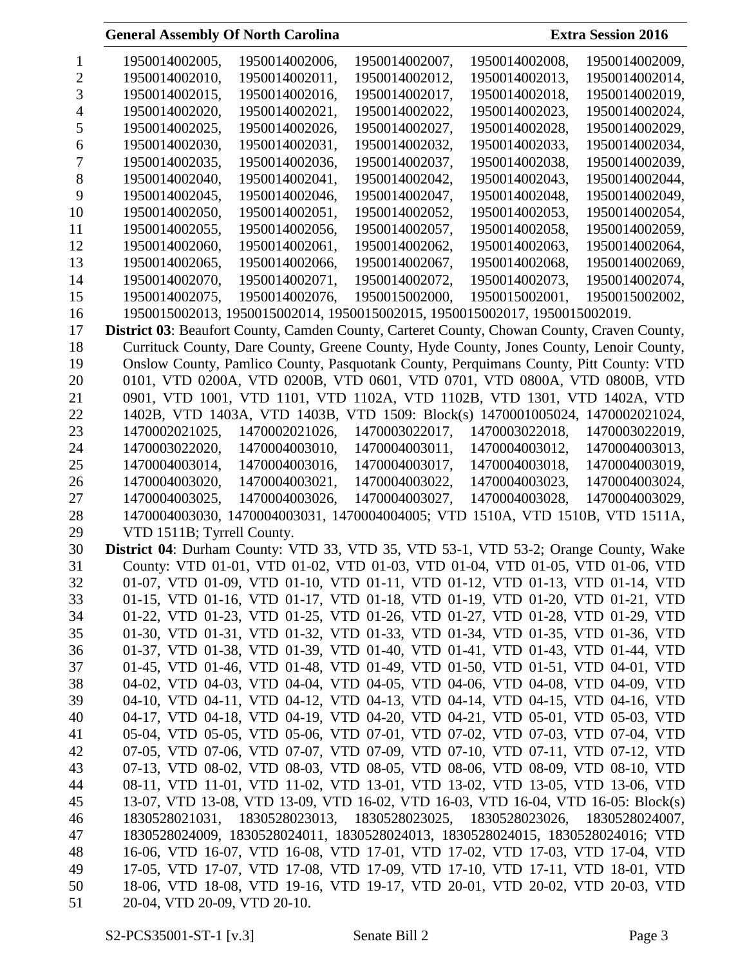|    | 1950014002005,                                                                                     | 1950014002006,                                                             | 1950014002007, | 1950014002008, | 1950014002009. |  |
|----|----------------------------------------------------------------------------------------------------|----------------------------------------------------------------------------|----------------|----------------|----------------|--|
|    | 1950014002010.                                                                                     | 1950014002011.                                                             | 1950014002012. | 1950014002013. | 1950014002014. |  |
|    | 1950014002015.                                                                                     | 1950014002016.                                                             | 1950014002017. | 1950014002018. | 1950014002019. |  |
|    | 1950014002020.                                                                                     | 1950014002021.                                                             | 1950014002022. | 1950014002023, | 1950014002024, |  |
| C  | 1950014002025.                                                                                     | 1950014002026.                                                             | 1950014002027. | 1950014002028. | 1950014002029. |  |
| 6  | 1950014002030.                                                                                     | 1950014002031.                                                             | 1950014002032. | 1950014002033. | 1950014002034. |  |
|    | 1950014002035,                                                                                     | 1950014002036,                                                             | 1950014002037, | 1950014002038, | 1950014002039, |  |
| 8  | 1950014002040,                                                                                     | 1950014002041,                                                             | 1950014002042, | 1950014002043, | 1950014002044, |  |
| 9  | 1950014002045,                                                                                     | 1950014002046,                                                             | 1950014002047, | 1950014002048, | 1950014002049, |  |
| 10 | 1950014002050,                                                                                     | 1950014002051,                                                             | 1950014002052, | 1950014002053, | 1950014002054, |  |
| 11 | 1950014002055,                                                                                     | 1950014002056,                                                             | 1950014002057, | 1950014002058, | 1950014002059, |  |
| 12 | 1950014002060,                                                                                     | 1950014002061,                                                             | 1950014002062, | 1950014002063, | 1950014002064, |  |
| 13 | 1950014002065,                                                                                     | 1950014002066,                                                             | 1950014002067, | 1950014002068, | 1950014002069, |  |
| 14 | 1950014002070,                                                                                     | 1950014002071,                                                             | 1950014002072, | 1950014002073, | 1950014002074, |  |
| 15 | 1950014002075.                                                                                     | 1950014002076.                                                             | 1950015002000. | 1950015002001. | 1950015002002, |  |
| 16 |                                                                                                    | 1950015002013, 1950015002014, 1950015002015, 1950015002017, 1950015002019. |                |                |                |  |
| 17 | <b>District 03:</b> Beaufort County, Camden County, Carteret County, Chowan County, Craven County, |                                                                            |                |                |                |  |

 Currituck County, Dare County, Greene County, Hyde County, Jones County, Lenoir County, Onslow County, Pamlico County, Pasquotank County, Perquimans County, Pitt County: VTD 0101, VTD 0200A, VTD 0200B, VTD 0601, VTD 0701, VTD 0800A, VTD 0800B, VTD 0901, VTD 1001, VTD 1101, VTD 1102A, VTD 1102B, VTD 1301, VTD 1402A, VTD 1402B, VTD 1403A, VTD 1403B, VTD 1509: Block(s) 1470001005024, 1470002021024, 1470002021025, 1470002021026, 1470003022017, 1470003022018, 1470003022019, 1470003022020, 1470004003010, 1470004003011, 1470004003012, 1470004003013, 1470004003014, 1470004003016, 1470004003017, 1470004003018, 1470004003019, 1470004003020, 1470004003021, 1470004003022, 1470004003023, 1470004003024, 1470004003025, 1470004003026, 1470004003027, 1470004003028, 1470004003029, 1470004003030, 1470004003031, 1470004004005; VTD 1510A, VTD 1510B, VTD 1511A, VTD 1511B; Tyrrell County.

 **District 04**: Durham County: VTD 33, VTD 35, VTD 53-1, VTD 53-2; Orange County, Wake County: VTD 01-01, VTD 01-02, VTD 01-03, VTD 01-04, VTD 01-05, VTD 01-06, VTD 01-07, VTD 01-09, VTD 01-10, VTD 01-11, VTD 01-12, VTD 01-13, VTD 01-14, VTD 01-15, VTD 01-16, VTD 01-17, VTD 01-18, VTD 01-19, VTD 01-20, VTD 01-21, VTD 01-22, VTD 01-23, VTD 01-25, VTD 01-26, VTD 01-27, VTD 01-28, VTD 01-29, VTD 01-30, VTD 01-31, VTD 01-32, VTD 01-33, VTD 01-34, VTD 01-35, VTD 01-36, VTD 01-37, VTD 01-38, VTD 01-39, VTD 01-40, VTD 01-41, VTD 01-43, VTD 01-44, VTD 01-45, VTD 01-46, VTD 01-48, VTD 01-49, VTD 01-50, VTD 01-51, VTD 04-01, VTD 04-02, VTD 04-03, VTD 04-04, VTD 04-05, VTD 04-06, VTD 04-08, VTD 04-09, VTD 04-10, VTD 04-11, VTD 04-12, VTD 04-13, VTD 04-14, VTD 04-15, VTD 04-16, VTD 04-17, VTD 04-18, VTD 04-19, VTD 04-20, VTD 04-21, VTD 05-01, VTD 05-03, VTD 05-04, VTD 05-05, VTD 05-06, VTD 07-01, VTD 07-02, VTD 07-03, VTD 07-04, VTD 07-05, VTD 07-06, VTD 07-07, VTD 07-09, VTD 07-10, VTD 07-11, VTD 07-12, VTD 07-13, VTD 08-02, VTD 08-03, VTD 08-05, VTD 08-06, VTD 08-09, VTD 08-10, VTD 08-11, VTD 11-01, VTD 11-02, VTD 13-01, VTD 13-02, VTD 13-05, VTD 13-06, VTD 13-07, VTD 13-08, VTD 13-09, VTD 16-02, VTD 16-03, VTD 16-04, VTD 16-05: Block(s) 1830528021031, 1830528023013, 1830528023025, 1830528023026, 1830528024007, 1830528024009, 1830528024011, 1830528024013, 1830528024015, 1830528024016; VTD 16-06, VTD 16-07, VTD 16-08, VTD 17-01, VTD 17-02, VTD 17-03, VTD 17-04, VTD 17-05, VTD 17-07, VTD 17-08, VTD 17-09, VTD 17-10, VTD 17-11, VTD 18-01, VTD 18-06, VTD 18-08, VTD 19-16, VTD 19-17, VTD 20-01, VTD 20-02, VTD 20-03, VTD 20-04, VTD 20-09, VTD 20-10.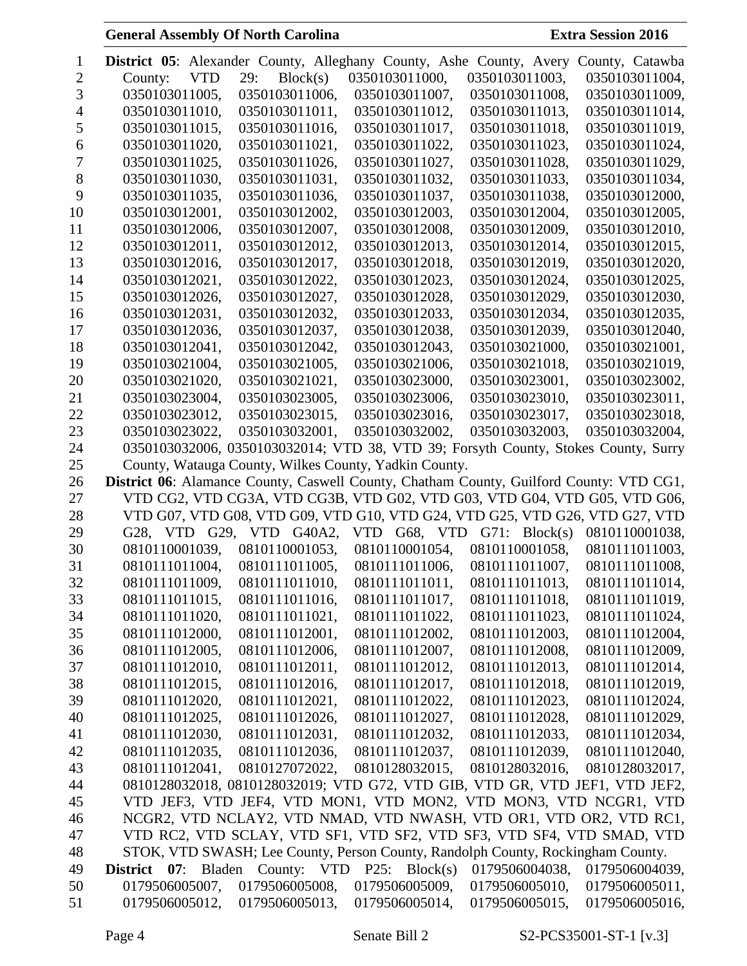| 1  |                |            |                          | <b>District 05:</b> Alexander County, Alleghany County, Ashe County, Avery              |                            | County, Catawba |
|----|----------------|------------|--------------------------|-----------------------------------------------------------------------------------------|----------------------------|-----------------|
| 2  | County:        | <b>VTD</b> | 29:<br>Block(s)          | 0350103011000,                                                                          | 0350103011003,             | 0350103011004,  |
| 3  | 0350103011005, |            | 0350103011006,           | 0350103011007,                                                                          | 0350103011008,             | 0350103011009,  |
| 4  | 0350103011010, |            | 0350103011011,           | 0350103011012,                                                                          | 0350103011013,             | 0350103011014,  |
| 5  | 0350103011015, |            | 0350103011016,           | 0350103011017,                                                                          | 0350103011018,             | 0350103011019,  |
| 6  | 0350103011020, |            | 0350103011021,           | 0350103011022,                                                                          | 0350103011023,             | 0350103011024,  |
| 7  | 0350103011025, |            | 0350103011026,           | 0350103011027,                                                                          | 0350103011028,             | 0350103011029,  |
| 8  | 0350103011030, |            | 0350103011031,           | 0350103011032.                                                                          | 0350103011033,             | 0350103011034,  |
| 9  | 0350103011035, |            | 0350103011036,           | 0350103011037,                                                                          | 0350103011038,             | 0350103012000,  |
| 10 | 0350103012001, |            | 0350103012002,           | 0350103012003,                                                                          | 0350103012004,             | 0350103012005,  |
| 11 | 0350103012006, |            | 0350103012007,           | 0350103012008,                                                                          | 0350103012009,             | 0350103012010,  |
| 12 | 0350103012011, |            | 0350103012012,           | 0350103012013,                                                                          | 0350103012014,             | 0350103012015,  |
| 13 | 0350103012016, |            | 0350103012017,           | 0350103012018,                                                                          | 0350103012019,             | 0350103012020,  |
| 14 | 0350103012021, |            | 0350103012022,           | 0350103012023,                                                                          | 0350103012024,             | 0350103012025,  |
| 15 | 0350103012026, |            | 0350103012027,           | 0350103012028,                                                                          | 0350103012029,             | 0350103012030,  |
| 16 | 0350103012031, |            | 0350103012032,           | 0350103012033,                                                                          | 0350103012034,             | 0350103012035,  |
| 17 | 0350103012036, |            | 0350103012037,           | 0350103012038,                                                                          | 0350103012039,             | 0350103012040,  |
| 18 | 0350103012041, |            | 0350103012042,           | 0350103012043,                                                                          | 0350103021000,             | 0350103021001,  |
| 19 | 0350103021004, |            | 0350103021005,           | 0350103021006,                                                                          | 0350103021018.             | 0350103021019,  |
| 20 | 0350103021020, |            | 0350103021021,           | 0350103023000,                                                                          | 0350103023001,             | 0350103023002,  |
| 21 | 0350103023004, |            | 0350103023005,           | 0350103023006,                                                                          | 0350103023010,             | 0350103023011,  |
| 22 | 0350103023012, |            | 0350103023015,           | 0350103023016,                                                                          | 0350103023017,             | 0350103023018,  |
| 23 | 0350103023022, |            | 0350103032001,           | 0350103032002,                                                                          | 0350103032003,             | 0350103032004,  |
| 24 |                |            |                          | 0350103032006, 0350103032014; VTD 38, VTD 39; Forsyth County, Stokes County, Surry      |                            |                 |
| 25 |                |            |                          | County, Watauga County, Wilkes County, Yadkin County.                                   |                            |                 |
| 26 |                |            |                          | District 06: Alamance County, Caswell County, Chatham County, Guilford County: VTD CG1, |                            |                 |
| 27 |                |            |                          | VTD CG2, VTD CG3A, VTD CG3B, VTD G02, VTD G03, VTD G04, VTD G05, VTD G06,               |                            |                 |
| 28 |                |            |                          | VTD G07, VTD G08, VTD G09, VTD G10, VTD G24, VTD G25, VTD G26, VTD G27, VTD             |                            |                 |
| 29 |                |            | G28, VTD G29, VTD G40A2, |                                                                                         | VTD G68, VTD G71: Block(s) | 0810110001038,  |
| 30 | 0810110001039, |            | 0810110001053,           | 0810110001054,                                                                          | 0810110001058,             | 0810111011003,  |
| 31 | 0810111011004, |            | 0810111011005,           | 0810111011006,                                                                          | 0810111011007,             | 0810111011008,  |
| 32 | 0810111011009, |            | 0810111011010,           | 0810111011011,                                                                          | 0810111011013,             | 0810111011014,  |
| 33 | 0810111011015, |            | 0810111011016,           | 0810111011017,                                                                          | 0810111011018,             | 0810111011019,  |
| 34 | 0810111011020, |            | 0810111011021,           | 0810111011022,                                                                          | 0810111011023,             | 0810111011024,  |
| 35 | 0810111012000, |            | 0810111012001,           | 0810111012002,                                                                          | 0810111012003,             | 0810111012004,  |
| 36 | 0810111012005, |            | 0810111012006,           | 0810111012007,                                                                          | 0810111012008,             | 0810111012009,  |
| 37 | 0810111012010, |            | 0810111012011,           | 0810111012012,                                                                          | 0810111012013,             | 0810111012014,  |
| 38 | 0810111012015, |            | 0810111012016,           | 0810111012017,                                                                          | 0810111012018,             | 0810111012019,  |
| 39 | 0810111012020, |            | 0810111012021,           | 0810111012022,                                                                          | 0810111012023,             | 0810111012024,  |
| 40 | 0810111012025, |            | 0810111012026,           | 0810111012027,                                                                          | 0810111012028,             | 0810111012029,  |
| 41 | 0810111012030, |            | 0810111012031,           | 0810111012032,                                                                          | 0810111012033,             | 0810111012034,  |
| 42 | 0810111012035, |            | 0810111012036,           | 0810111012037,                                                                          | 0810111012039,             | 0810111012040,  |
| 43 | 0810111012041, |            | 0810127072022,           | 0810128032015,                                                                          | 0810128032016,             | 0810128032017,  |
| 44 |                |            |                          | 0810128032018, 0810128032019; VTD G72, VTD GIB, VTD GR, VTD JEF1, VTD JEF2,             |                            |                 |
| 45 |                |            |                          | VTD JEF3, VTD JEF4, VTD MON1, VTD MON2, VTD MON3, VTD NCGR1, VTD                        |                            |                 |
| 46 |                |            |                          | NCGR2, VTD NCLAY2, VTD NMAD, VTD NWASH, VTD OR1, VTD OR2, VTD RC1,                      |                            |                 |
| 47 |                |            |                          | VTD RC2, VTD SCLAY, VTD SF1, VTD SF2, VTD SF3, VTD SF4, VTD SMAD, VTD                   |                            |                 |
| 48 |                |            |                          | STOK, VTD SWASH; Lee County, Person County, Randolph County, Rockingham County.         |                            |                 |
| 49 |                |            |                          | <b>District 07:</b> Bladen County: VTD P25: Block(s)                                    | 0179506004038,             | 0179506004039,  |
| 50 | 0179506005007, |            | 0179506005008,           | 0179506005009,                                                                          | 0179506005010,             | 0179506005011,  |
| 51 | 0179506005012, |            | 0179506005013,           | 0179506005014,                                                                          | 0179506005015,             | 0179506005016,  |
|    |                |            |                          |                                                                                         |                            |                 |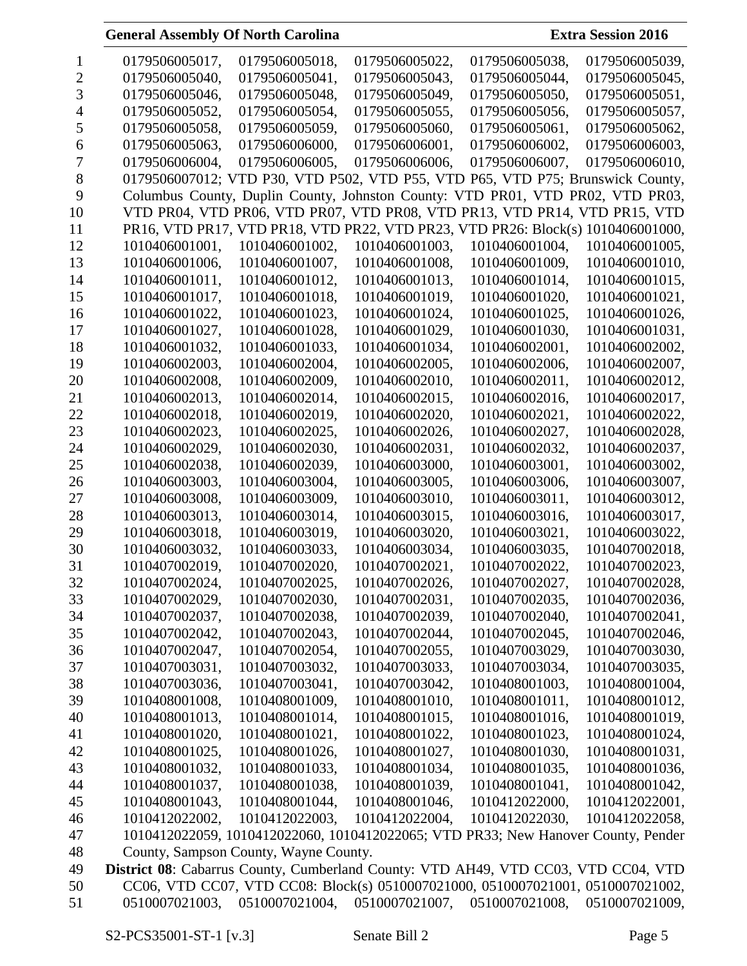| 1  | 0179506005017,                                                                     | 0179506005018,                        | 0179506005022,               | 0179506005038,                                                                    | 0179506005039, |
|----|------------------------------------------------------------------------------------|---------------------------------------|------------------------------|-----------------------------------------------------------------------------------|----------------|
| 2  | 0179506005040,                                                                     | 0179506005041,                        | 0179506005043,               | 0179506005044,                                                                    | 0179506005045, |
| 3  | 0179506005046,                                                                     | 0179506005048,                        | 0179506005049,               | 0179506005050,                                                                    | 0179506005051, |
| 4  | 0179506005052,                                                                     | 0179506005054,                        | 0179506005055,               | 0179506005056,                                                                    | 0179506005057, |
| 5  | 0179506005058,                                                                     | 0179506005059,                        | 0179506005060,               | 0179506005061,                                                                    | 0179506005062, |
| 6  | 0179506005063,                                                                     | 0179506006000,                        | 0179506006001,               | 0179506006002,                                                                    | 0179506006003, |
| 7  | 0179506006004,                                                                     | 0179506006005,                        | 0179506006006,               | 0179506006007,                                                                    | 0179506006010, |
| 8  |                                                                                    |                                       |                              | 0179506007012; VTD P30, VTD P502, VTD P55, VTD P65, VTD P75; Brunswick County,    |                |
| 9  |                                                                                    |                                       |                              | Columbus County, Duplin County, Johnston County: VTD PR01, VTD PR02, VTD PR03,    |                |
| 10 |                                                                                    |                                       |                              | VTD PR04, VTD PR06, VTD PR07, VTD PR08, VTD PR13, VTD PR14, VTD PR15, VTD         |                |
| 11 |                                                                                    |                                       |                              | PR16, VTD PR17, VTD PR18, VTD PR22, VTD PR23, VTD PR26: Block(s) 1010406001000,   |                |
| 12 | 1010406001001,                                                                     | 1010406001002,                        | 1010406001003,               | 1010406001004,                                                                    | 1010406001005, |
| 13 | 1010406001006,                                                                     | 1010406001007,                        | 1010406001008,               | 1010406001009,                                                                    | 1010406001010, |
| 14 | 1010406001011,                                                                     | 1010406001012,                        | 1010406001013,               | 1010406001014,                                                                    | 1010406001015, |
| 15 | 1010406001017,                                                                     | 1010406001018,                        | 1010406001019,               | 1010406001020,                                                                    | 1010406001021, |
| 16 | 1010406001022,                                                                     | 1010406001023,                        | 1010406001024,               | 1010406001025,                                                                    | 1010406001026, |
| 17 | 1010406001027,                                                                     | 1010406001028,                        | 1010406001029,               | 1010406001030,                                                                    | 1010406001031, |
| 18 | 1010406001032,                                                                     | 1010406001033,                        | 1010406001034,               | 1010406002001,                                                                    | 1010406002002, |
| 19 | 1010406002003,                                                                     | 1010406002004,                        | 1010406002005,               | 1010406002006,                                                                    | 1010406002007, |
| 20 | 1010406002008,                                                                     | 1010406002009,                        | 1010406002010,               | 1010406002011,                                                                    | 1010406002012, |
| 21 | 1010406002013,                                                                     | 1010406002014,                        | 1010406002015,               | 1010406002016,                                                                    | 1010406002017, |
| 22 | 1010406002018,                                                                     | 1010406002019,                        | 1010406002020,               | 1010406002021,                                                                    | 1010406002022, |
| 23 | 1010406002023,                                                                     | 1010406002025,                        | 1010406002026,               | 1010406002027,                                                                    | 1010406002028, |
| 24 | 1010406002029,                                                                     | 1010406002030,                        | 1010406002031,               | 1010406002032,                                                                    | 1010406002037, |
| 25 | 1010406002038,                                                                     | 1010406002039,                        | 1010406003000,               | 1010406003001,                                                                    | 1010406003002, |
| 26 | 1010406003003,                                                                     | 1010406003004,                        | 1010406003005,               | 1010406003006,                                                                    | 1010406003007, |
| 27 | 1010406003008,                                                                     | 1010406003009,                        | 1010406003010,               | 1010406003011,                                                                    | 1010406003012, |
| 28 | 1010406003013,                                                                     | 1010406003014,                        | 1010406003015,               | 1010406003016,                                                                    | 1010406003017, |
| 29 | 1010406003018,                                                                     | 1010406003019,                        | 1010406003020,               | 1010406003021,                                                                    | 1010406003022. |
| 30 | 1010406003032,                                                                     | 1010406003033,                        | 1010406003034,               | 1010406003035,                                                                    | 1010407002018, |
| 31 | 1010407002019,                                                                     | 1010407002020,                        | 1010407002021,               | 1010407002022,                                                                    | 1010407002023, |
| 32 | 1010407002024,                                                                     | 1010407002025.                        | 1010407002026,               | 1010407002027,                                                                    | 1010407002028, |
| 33 | 1010407002029,                                                                     | 1010407002030,                        | 1010407002031,               | 1010407002035,                                                                    | 1010407002036, |
|    |                                                                                    |                                       | 1010407002039,               |                                                                                   |                |
| 34 | 1010407002037,                                                                     | 1010407002038,                        |                              | 1010407002040,                                                                    | 1010407002041, |
| 35 | 1010407002042,                                                                     | 1010407002043,                        | 1010407002044,               | 1010407002045,                                                                    | 1010407002046, |
| 36 | 1010407002047,                                                                     | 1010407002054,                        | 1010407002055,               | 1010407003029,                                                                    | 1010407003030, |
| 37 | 1010407003031,                                                                     | 1010407003032,                        | 1010407003033,               | 1010407003034,                                                                    | 1010407003035, |
| 38 | 1010407003036,                                                                     | 1010407003041,                        | 1010407003042,               | 1010408001003,                                                                    | 1010408001004, |
| 39 | 1010408001008,                                                                     | 1010408001009,                        | 1010408001010,               | 1010408001011,                                                                    | 1010408001012, |
| 40 | 1010408001013,                                                                     | 1010408001014,                        | 1010408001015,               | 1010408001016,                                                                    | 1010408001019, |
| 41 | 1010408001020,                                                                     | 1010408001021,                        | 1010408001022,               | 1010408001023,                                                                    | 1010408001024, |
| 42 | 1010408001025,                                                                     | 1010408001026,                        | 1010408001027,               | 1010408001030,                                                                    | 1010408001031, |
| 43 | 1010408001032,                                                                     | 1010408001033,                        | 1010408001034,               | 1010408001035,                                                                    | 1010408001036, |
| 44 | 1010408001037,                                                                     | 1010408001038,                        | 1010408001039,               | 1010408001041,                                                                    | 1010408001042, |
| 45 | 1010408001043,                                                                     | 1010408001044,                        | 1010408001046,               | 1010412022000,                                                                    | 1010412022001, |
| 46 | 1010412022002,                                                                     | 1010412022003,                        | 1010412022004,               | 1010412022030,                                                                    | 1010412022058, |
| 47 |                                                                                    |                                       |                              | 1010412022059, 1010412022060, 1010412022065; VTD PR33; New Hanover County, Pender |                |
| 48 |                                                                                    | County, Sampson County, Wayne County. |                              |                                                                                   |                |
| 49 | District 08: Cabarrus County, Cumberland County: VTD AH49, VTD CC03, VTD CC04, VTD |                                       |                              |                                                                                   |                |
| 50 |                                                                                    |                                       | $21001 - 0510007021007 - 05$ | CC06, VTD CC07, VTD CC08: Block(s) 0510007021000, 0510007021001, 0510007021002,   |                |
|    |                                                                                    |                                       |                              |                                                                                   |                |

0510007021003, 0510007021004, 0510007021007, 0510007021008, 0510007021009,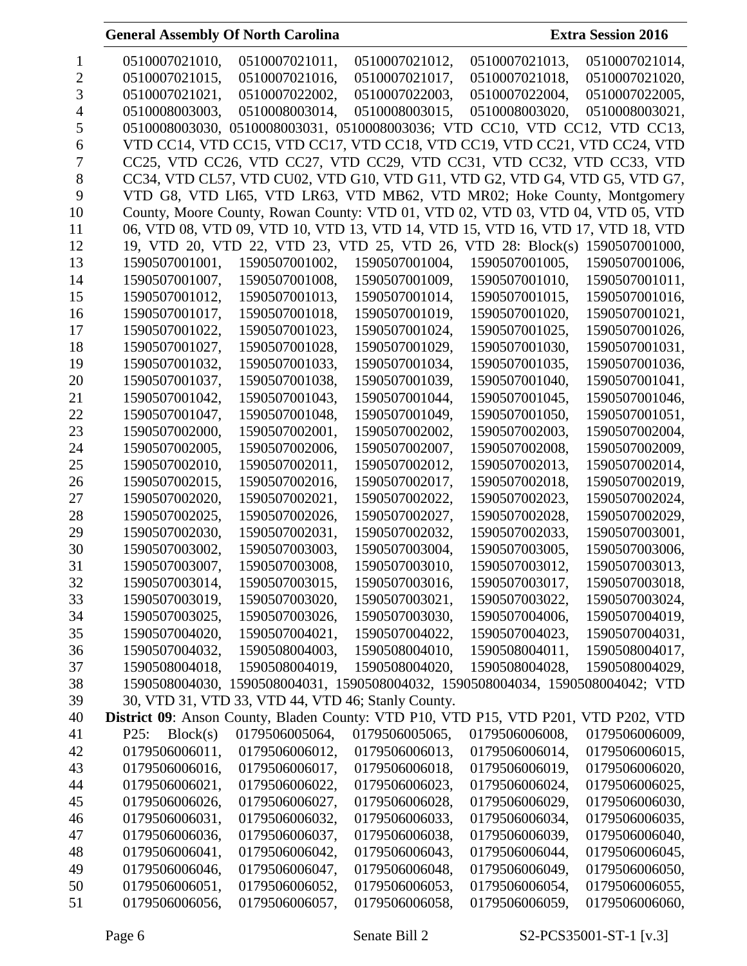|    | 0510007021010,                                                                             | 0510007021011,                                                                  | 0510007021012, | 0510007021013, | 0510007021014, |
|----|--------------------------------------------------------------------------------------------|---------------------------------------------------------------------------------|----------------|----------------|----------------|
| 2  | 0510007021015,                                                                             | 0510007021016.                                                                  | 0510007021017, | 0510007021018. | 0510007021020, |
| 3  | 0510007021021,                                                                             | 0510007022002,                                                                  | 0510007022003, | 0510007022004, | 0510007022005, |
|    | 0510008003003,                                                                             | 0510008003014,                                                                  | 0510008003015, | 0510008003020, | 0510008003021, |
| 5  |                                                                                            | 0510008003030, 0510008003031, 0510008003036; VTD CC10, VTD CC12, VTD CC13,      |                |                |                |
| 6  |                                                                                            | VTD CC14, VTD CC15, VTD CC17, VTD CC18, VTD CC19, VTD CC21, VTD CC24, VTD       |                |                |                |
| 7  |                                                                                            | CC25, VTD CC26, VTD CC27, VTD CC29, VTD CC31, VTD CC32, VTD CC33, VTD           |                |                |                |
| 8  |                                                                                            | CC34, VTD CL57, VTD CU02, VTD G10, VTD G11, VTD G2, VTD G4, VTD G5, VTD G7,     |                |                |                |
| 9  |                                                                                            | VTD G8, VTD LI65, VTD LR63, VTD MB62, VTD MR02; Hoke County, Montgomery         |                |                |                |
| 10 |                                                                                            | County, Moore County, Rowan County: VTD 01, VTD 02, VTD 03, VTD 04, VTD 05, VTD |                |                |                |
| 11 |                                                                                            | 06, VTD 08, VTD 09, VTD 10, VTD 13, VTD 14, VTD 15, VTD 16, VTD 17, VTD 18, VTD |                |                |                |
| 12 |                                                                                            | 19, VTD 20, VTD 22, VTD 23, VTD 25, VTD 26, VTD 28: Block(s) 1590507001000,     |                |                |                |
| 13 | 1590507001001,                                                                             | 1590507001002,                                                                  | 1590507001004, | 1590507001005, | 1590507001006, |
| 14 | 1590507001007,                                                                             | 1590507001008,                                                                  | 1590507001009, | 1590507001010, | 1590507001011, |
| 15 | 1590507001012,                                                                             | 1590507001013,                                                                  | 1590507001014, | 1590507001015, | 1590507001016, |
| 16 | 1590507001017,                                                                             | 1590507001018,                                                                  | 1590507001019, | 1590507001020, | 1590507001021, |
| 17 | 1590507001022,                                                                             | 1590507001023,                                                                  | 1590507001024, | 1590507001025, | 1590507001026, |
| 18 | 1590507001027,                                                                             | 1590507001028,                                                                  | 1590507001029, | 1590507001030, | 1590507001031, |
| 19 | 1590507001032,                                                                             | 1590507001033,                                                                  | 1590507001034, | 1590507001035, | 1590507001036, |
| 20 | 1590507001037,                                                                             | 1590507001038,                                                                  | 1590507001039, | 1590507001040, | 1590507001041, |
| 21 | 1590507001042,                                                                             | 1590507001043,                                                                  | 1590507001044, | 1590507001045, | 1590507001046, |
| 22 | 1590507001047,                                                                             | 1590507001048,                                                                  | 1590507001049, | 1590507001050, | 1590507001051, |
| 23 | 1590507002000,                                                                             | 1590507002001,                                                                  | 1590507002002, | 1590507002003, | 1590507002004, |
| 24 | 1590507002005,                                                                             | 1590507002006,                                                                  | 1590507002007, | 1590507002008, | 1590507002009, |
| 25 | 1590507002010,                                                                             | 1590507002011,                                                                  | 1590507002012, | 1590507002013, | 1590507002014, |
| 26 | 1590507002015,                                                                             | 1590507002016,                                                                  | 1590507002017, | 1590507002018, | 1590507002019, |
| 27 | 1590507002020,                                                                             | 1590507002021,                                                                  | 1590507002022, | 1590507002023, | 1590507002024, |
| 28 | 1590507002025,                                                                             | 1590507002026,                                                                  | 1590507002027, | 1590507002028, | 1590507002029, |
| 29 | 1590507002030,                                                                             | 1590507002031,                                                                  | 1590507002032, | 1590507002033, | 1590507003001, |
| 30 | 1590507003002,                                                                             | 1590507003003,                                                                  | 1590507003004, | 1590507003005, | 1590507003006, |
| 31 | 1590507003007,                                                                             | 1590507003008,                                                                  | 1590507003010, | 1590507003012, | 1590507003013, |
| 32 | 1590507003014,                                                                             | 1590507003015,                                                                  | 1590507003016, | 1590507003017, | 1590507003018, |
| 33 | 1590507003019,                                                                             | 1590507003020,                                                                  | 1590507003021, | 1590507003022, | 1590507003024, |
| 34 | 1590507003025,                                                                             | 1590507003026,                                                                  | 1590507003030, | 1590507004006, | 1590507004019, |
| 35 | 1590507004020,                                                                             | 1590507004021,                                                                  | 1590507004022, | 1590507004023, | 1590507004031, |
| 36 | 1590507004032,                                                                             | 1590508004003,                                                                  | 1590508004010, | 1590508004011, | 1590508004017, |
| 37 | 1590508004018,                                                                             | 1590508004019,                                                                  | 1590508004020, | 1590508004028, | 1590508004029, |
| 38 | 1590508004030,                                                                             | 1590508004031, 1590508004032, 1590508004034, 1590508004042; VTD                 |                |                |                |
| 39 |                                                                                            | 30, VTD 31, VTD 33, VTD 44, VTD 46; Stanly County.                              |                |                |                |
| 40 | <b>District 09:</b> Anson County, Bladen County: VTD P10, VTD P15, VTD P201, VTD P202, VTD |                                                                                 |                |                |                |
| 41 | Block(s)<br>P25:                                                                           | 0179506005064,                                                                  | 0179506005065, | 0179506006008, | 0179506006009, |
| 42 | 0179506006011,                                                                             | 0179506006012,                                                                  | 0179506006013, | 0179506006014, | 0179506006015, |
| 43 | 0179506006016,                                                                             | 0179506006017,                                                                  | 0179506006018, | 0179506006019, | 0179506006020, |
| 44 | 0179506006021,                                                                             | 0179506006022,                                                                  | 0179506006023, | 0179506006024, | 0179506006025, |
| 45 | 0179506006026,                                                                             | 0179506006027,                                                                  | 0179506006028, | 0179506006029, | 0179506006030, |
| 46 | 0179506006031,                                                                             | 0179506006032,                                                                  | 0179506006033, | 0179506006034, | 0179506006035, |
| 47 | 0179506006036,                                                                             | 0179506006037,                                                                  | 0179506006038, | 0179506006039, | 0179506006040, |
| 48 | 0179506006041,                                                                             | 0179506006042,                                                                  | 0179506006043, | 0179506006044, | 0179506006045, |
| 49 | 0179506006046,                                                                             | 0179506006047,                                                                  | 0179506006048, | 0179506006049, | 0179506006050, |
| 50 | 0179506006051,                                                                             | 0179506006052,                                                                  | 0179506006053, | 0179506006054, | 0179506006055, |
| 51 | 0179506006056,                                                                             | 0179506006057,                                                                  | 0179506006058, | 0179506006059, | 0179506006060, |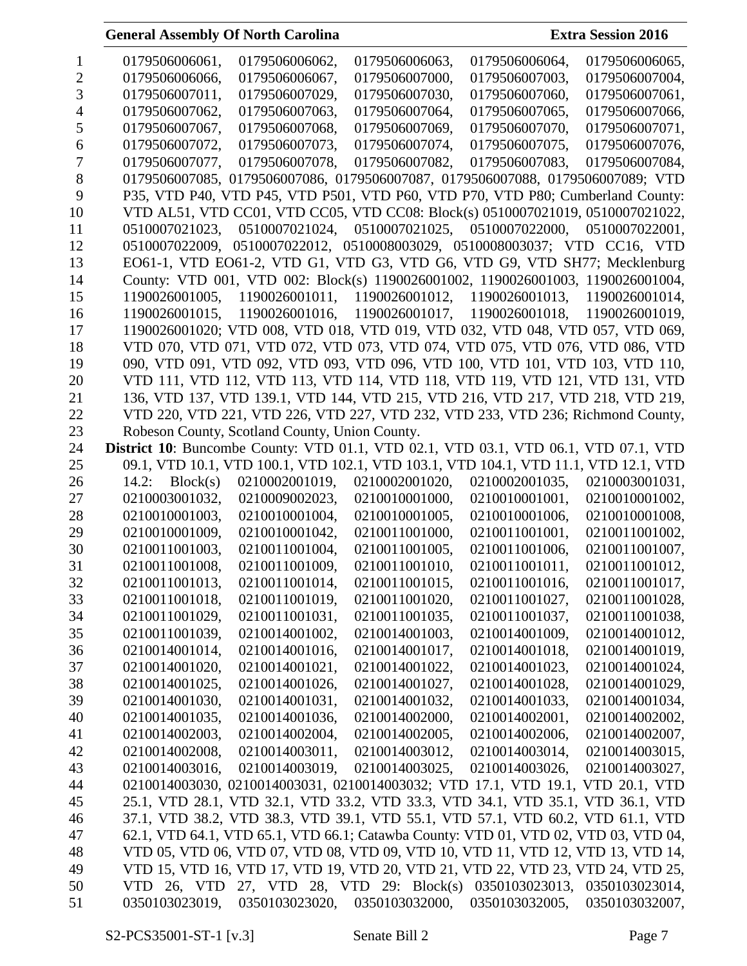| 1              | 0179506006061,<br>0179506006062,<br>0179506006063,<br>0179506006064,<br>0179506006065,     |
|----------------|--------------------------------------------------------------------------------------------|
| $\overline{2}$ | 0179506006066,<br>0179506006067,<br>0179506007000,<br>0179506007003,<br>0179506007004,     |
| 3              | 0179506007011,<br>0179506007029,<br>0179506007030,<br>0179506007060,<br>0179506007061,     |
| 4              | 0179506007062,<br>0179506007063,<br>0179506007064,<br>0179506007065,<br>0179506007066,     |
| 5              | 0179506007067,<br>0179506007068,<br>0179506007069,<br>0179506007070,<br>0179506007071,     |
| 6              | 0179506007072,<br>0179506007073,<br>0179506007074,<br>0179506007075,<br>0179506007076,     |
| 7              | 0179506007078,<br>0179506007083,<br>0179506007077,<br>0179506007082,<br>0179506007084,     |
| 8              | 0179506007085, 0179506007086, 0179506007087, 0179506007088, 0179506007089; VTD             |
| 9              | P35, VTD P40, VTD P45, VTD P501, VTD P60, VTD P70, VTD P80; Cumberland County:             |
| 10             | VTD AL51, VTD CC01, VTD CC05, VTD CC08: Block(s) 0510007021019, 0510007021022,             |
| 11             | 0510007021023, 0510007021024, 0510007021025, 0510007022000, 0510007022001,                 |
| 12             | 0510007022009, 0510007022012, 0510008003029, 0510008003037; VTD CC16, VTD                  |
| 13             | EO61-1, VTD EO61-2, VTD G1, VTD G3, VTD G6, VTD G9, VTD SH77; Mecklenburg                  |
| 14             | County: VTD 001, VTD 002: Block(s) 1190026001002, 1190026001003, 1190026001004,            |
| 15             | 1190026001005, 1190026001011, 1190026001012, 1190026001013, 1190026001014,                 |
| 16             | 1190026001015,<br>1190026001016,<br>1190026001017, 1190026001018,<br>1190026001019,        |
| 17             | 1190026001020; VTD 008, VTD 018, VTD 019, VTD 032, VTD 048, VTD 057, VTD 069,              |
| 18             | VTD 070, VTD 071, VTD 072, VTD 073, VTD 074, VTD 075, VTD 076, VTD 086, VTD                |
| 19             | 090, VTD 091, VTD 092, VTD 093, VTD 096, VTD 100, VTD 101, VTD 103, VTD 110,               |
| 20             | VTD 111, VTD 112, VTD 113, VTD 114, VTD 118, VTD 119, VTD 121, VTD 131, VTD                |
| 21             | 136, VTD 137, VTD 139.1, VTD 144, VTD 215, VTD 216, VTD 217, VTD 218, VTD 219,             |
|                |                                                                                            |
| 22             | VTD 220, VTD 221, VTD 226, VTD 227, VTD 232, VTD 233, VTD 236; Richmond County,            |
| 23             | Robeson County, Scotland County, Union County.                                             |
| 24             | <b>District 10:</b> Buncombe County: VTD 01.1, VTD 02.1, VTD 03.1, VTD 06.1, VTD 07.1, VTD |
| 25             | 09.1, VTD 10.1, VTD 100.1, VTD 102.1, VTD 103.1, VTD 104.1, VTD 11.1, VTD 12.1, VTD        |
| 26             | Block(s)<br>0210002001019,<br>0210002001020,<br>0210002001035,<br>14.2:<br>0210003001031,  |
| 27             | 0210003001032,<br>0210009002023,<br>0210010001000,<br>0210010001001,<br>0210010001002,     |
| 28             | 0210010001003,<br>0210010001004,<br>0210010001005,<br>0210010001006,<br>0210010001008,     |
| 29             | 0210010001009,<br>0210010001042,<br>0210011001000,<br>0210011001001,<br>0210011001002,     |
| 30             | 0210011001003,<br>0210011001004,<br>0210011001005,<br>0210011001006,<br>0210011001007,     |
| 31             | 0210011001008,<br>0210011001009,<br>0210011001010,<br>0210011001011,<br>0210011001012,     |
| 32             | 0210011001013,<br>0210011001014,<br>0210011001015,<br>0210011001016,<br>0210011001017,     |
| 33             | 0210011001018,<br>0210011001019,<br>0210011001020,<br>0210011001027,<br>0210011001028,     |
| 34             | 0210011001029,<br>0210011001031,<br>0210011001035,<br>0210011001037,<br>0210011001038,     |
| 35             | 0210011001039,<br>0210014001002,<br>0210014001003,<br>0210014001009,<br>0210014001012,     |
| 36             | 0210014001014,<br>0210014001016,<br>0210014001017,<br>0210014001018,<br>0210014001019,     |
| 37             | 0210014001020,<br>0210014001021,<br>0210014001022,<br>0210014001023,<br>0210014001024,     |
| 38             | 0210014001025,<br>0210014001026,<br>0210014001027,<br>0210014001028,<br>0210014001029,     |
| 39             | 0210014001030,<br>0210014001031,<br>0210014001032,<br>0210014001033,<br>0210014001034,     |
| 40             | 0210014001035,<br>0210014001036,<br>0210014002000,<br>0210014002001,<br>0210014002002,     |
| 41             | 0210014002003,<br>0210014002004,<br>0210014002005,<br>0210014002006,<br>0210014002007,     |
| 42             | 0210014003011,<br>0210014003012,<br>0210014002008,<br>0210014003014,<br>0210014003015,     |
| 43             | 0210014003019,<br>0210014003025,<br>0210014003016,<br>0210014003026,<br>0210014003027,     |
| 44             | 0210014003030, 0210014003031, 0210014003032; VTD 17.1, VTD 19.1, VTD 20.1, VTD             |
| 45             | 25.1, VTD 28.1, VTD 32.1, VTD 33.2, VTD 33.3, VTD 34.1, VTD 35.1, VTD 36.1, VTD            |
| 46             | 37.1, VTD 38.2, VTD 38.3, VTD 39.1, VTD 55.1, VTD 57.1, VTD 60.2, VTD 61.1, VTD            |
| 47             | 62.1, VTD 64.1, VTD 65.1, VTD 66.1; Catawba County: VTD 01, VTD 02, VTD 03, VTD 04,        |
| 48             | VTD 05, VTD 06, VTD 07, VTD 08, VTD 09, VTD 10, VTD 11, VTD 12, VTD 13, VTD 14,            |
| 49             | VTD 15, VTD 16, VTD 17, VTD 19, VTD 20, VTD 21, VTD 22, VTD 23, VTD 24, VTD 25,            |
| 50             | VTD 26, VTD 27, VTD 28, VTD 29: Block(s) 0350103023013, 0350103023014,                     |
| 51             | 0350103023020, 0350103032000, 0350103032005,<br>0350103032007,<br>0350103023019,           |
|                |                                                                                            |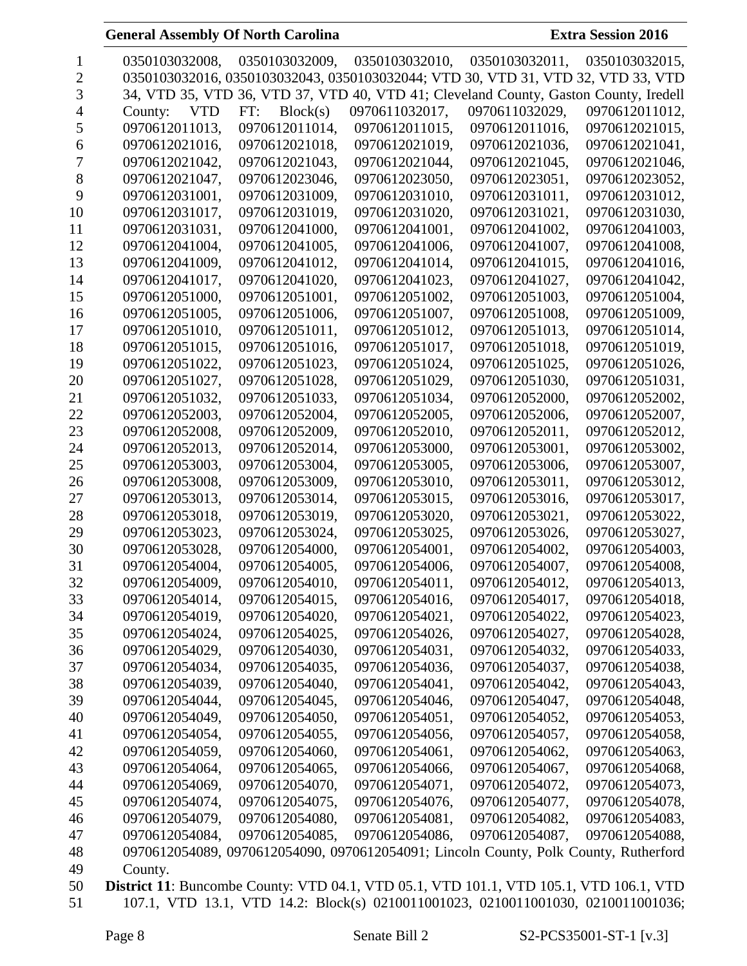|    | 0350103032008,                                                                                | 0350103032009,  | 0350103032010.                                                                       | 0350103032011, | 0350103032015, |
|----|-----------------------------------------------------------------------------------------------|-----------------|--------------------------------------------------------------------------------------|----------------|----------------|
| 2  |                                                                                               |                 | 0350103032016, 0350103032043, 0350103032044; VTD 30, VTD 31, VTD 32, VTD 33, VTD     |                |                |
| 3  |                                                                                               |                 | 34, VTD 35, VTD 36, VTD 37, VTD 40, VTD 41; Cleveland County, Gaston County, Iredell |                |                |
| 4  | County:<br>VTD                                                                                | Block(s)<br>FT: | 0970611032017,                                                                       | 0970611032029, | 0970612011012, |
| 5  | 0970612011013,                                                                                | 0970612011014,  | 0970612011015,                                                                       | 0970612011016, | 0970612021015, |
| 6  | 0970612021016,                                                                                | 0970612021018,  | 0970612021019,                                                                       | 0970612021036, | 0970612021041, |
|    | 0970612021042,                                                                                | 0970612021043,  | 0970612021044,                                                                       | 0970612021045, | 0970612021046, |
| 8  | 0970612021047,                                                                                | 0970612023046,  | 0970612023050,                                                                       | 0970612023051, | 0970612023052, |
| 9  | 0970612031001,                                                                                | 0970612031009,  | 0970612031010,                                                                       | 0970612031011, | 0970612031012, |
| 10 | 0970612031017,                                                                                | 0970612031019,  | 0970612031020,                                                                       | 0970612031021, | 0970612031030, |
| 11 | 0970612031031,                                                                                | 0970612041000,  | 0970612041001,                                                                       | 0970612041002, | 0970612041003, |
| 12 | 0970612041004,                                                                                | 0970612041005,  | 0970612041006,                                                                       | 0970612041007, | 0970612041008, |
| 13 | 0970612041009,                                                                                | 0970612041012,  | 0970612041014,                                                                       | 0970612041015, | 0970612041016, |
| 14 | 0970612041017,                                                                                | 0970612041020,  | 0970612041023,                                                                       | 0970612041027, | 0970612041042, |
| 15 | 0970612051000,                                                                                | 0970612051001,  | 0970612051002,                                                                       | 0970612051003, | 0970612051004, |
| 16 | 0970612051005,                                                                                | 0970612051006,  | 0970612051007,                                                                       | 0970612051008, | 0970612051009, |
| 17 | 0970612051010,                                                                                | 0970612051011,  | 0970612051012.                                                                       | 0970612051013. | 0970612051014, |
| 18 | 0970612051015,                                                                                | 0970612051016,  | 0970612051017,                                                                       | 0970612051018, | 0970612051019, |
| 19 | 0970612051022,                                                                                | 0970612051023,  | 0970612051024,                                                                       | 0970612051025, | 0970612051026, |
| 20 | 0970612051027,                                                                                | 0970612051028,  | 0970612051029,                                                                       | 0970612051030, | 0970612051031, |
| 21 | 0970612051032,                                                                                | 0970612051033,  | 0970612051034,                                                                       | 0970612052000, | 0970612052002, |
| 22 | 0970612052003,                                                                                | 0970612052004,  | 0970612052005,                                                                       | 0970612052006, | 0970612052007, |
| 23 | 0970612052008,                                                                                | 0970612052009,  | 0970612052010,                                                                       | 0970612052011, | 0970612052012, |
| 24 | 0970612052013,                                                                                | 0970612052014,  | 0970612053000,                                                                       | 0970612053001, | 0970612053002, |
| 25 | 0970612053003,                                                                                | 0970612053004,  | 0970612053005,                                                                       | 0970612053006, | 0970612053007, |
| 26 | 0970612053008,                                                                                | 0970612053009,  | 0970612053010,                                                                       | 0970612053011, | 0970612053012, |
| 27 | 0970612053013,                                                                                | 0970612053014,  | 0970612053015,                                                                       | 0970612053016, | 0970612053017, |
| 28 | 0970612053018,                                                                                | 0970612053019,  | 0970612053020,                                                                       | 0970612053021, | 0970612053022, |
| 29 | 0970612053023,                                                                                | 0970612053024,  | 0970612053025,                                                                       | 0970612053026, | 0970612053027, |
| 30 | 0970612053028,                                                                                | 0970612054000,  | 0970612054001,                                                                       | 0970612054002, | 0970612054003, |
| 31 | 0970612054004,                                                                                | 0970612054005,  | 0970612054006,                                                                       | 0970612054007, | 0970612054008, |
| 32 | 0970612054009,                                                                                | 0970612054010,  | 0970612054011,                                                                       | 0970612054012, | 0970612054013, |
| 33 | 0970612054014,                                                                                | 0970612054015,  | 0970612054016,                                                                       | 0970612054017, | 0970612054018, |
| 34 | 0970612054019,                                                                                | 0970612054020,  | 0970612054021,                                                                       | 0970612054022, | 0970612054023, |
| 35 | 0970612054024,                                                                                | 0970612054025,  | 0970612054026,                                                                       | 0970612054027, | 0970612054028, |
| 36 | 0970612054029,                                                                                | 0970612054030,  | 0970612054031,                                                                       | 0970612054032, | 0970612054033, |
| 37 | 0970612054034,                                                                                | 0970612054035,  | 0970612054036,                                                                       | 0970612054037, | 0970612054038, |
| 38 | 0970612054039,                                                                                | 0970612054040,  | 0970612054041,                                                                       | 0970612054042, | 0970612054043, |
| 39 | 0970612054044,                                                                                | 0970612054045,  | 0970612054046,                                                                       | 0970612054047, | 0970612054048, |
| 40 | 0970612054049,                                                                                | 0970612054050,  | 0970612054051,                                                                       | 0970612054052, | 0970612054053, |
| 41 | 0970612054054,                                                                                | 0970612054055,  | 0970612054056,                                                                       | 0970612054057, | 0970612054058, |
| 42 | 0970612054059,                                                                                | 0970612054060,  | 0970612054061,                                                                       | 0970612054062, | 0970612054063, |
| 43 | 0970612054064,                                                                                | 0970612054065,  | 0970612054066,                                                                       | 0970612054067, | 0970612054068, |
| 44 | 0970612054069,                                                                                | 0970612054070,  | 0970612054071,                                                                       | 0970612054072, | 0970612054073, |
| 45 | 0970612054074,                                                                                | 0970612054075,  | 0970612054076,                                                                       | 0970612054077, | 0970612054078, |
| 46 | 0970612054079,                                                                                | 0970612054080,  | 0970612054081,                                                                       | 0970612054082, | 0970612054083, |
| 47 | 0970612054084,                                                                                | 0970612054085,  | 0970612054086,                                                                       | 0970612054087, | 0970612054088, |
| 48 |                                                                                               |                 | 0970612054089, 0970612054090, 0970612054091; Lincoln County, Polk County, Rutherford |                |                |
| 49 | County.                                                                                       |                 |                                                                                      |                |                |
| 50 | <b>District 11:</b> Buncombe County: VTD 04.1, VTD 05.1, VTD 101.1, VTD 105.1, VTD 106.1, VTD |                 |                                                                                      |                |                |
| 51 |                                                                                               |                 | 107.1, VTD 13.1, VTD 14.2: Block(s) 0210011001023, 0210011001030, 0210011001036;     |                |                |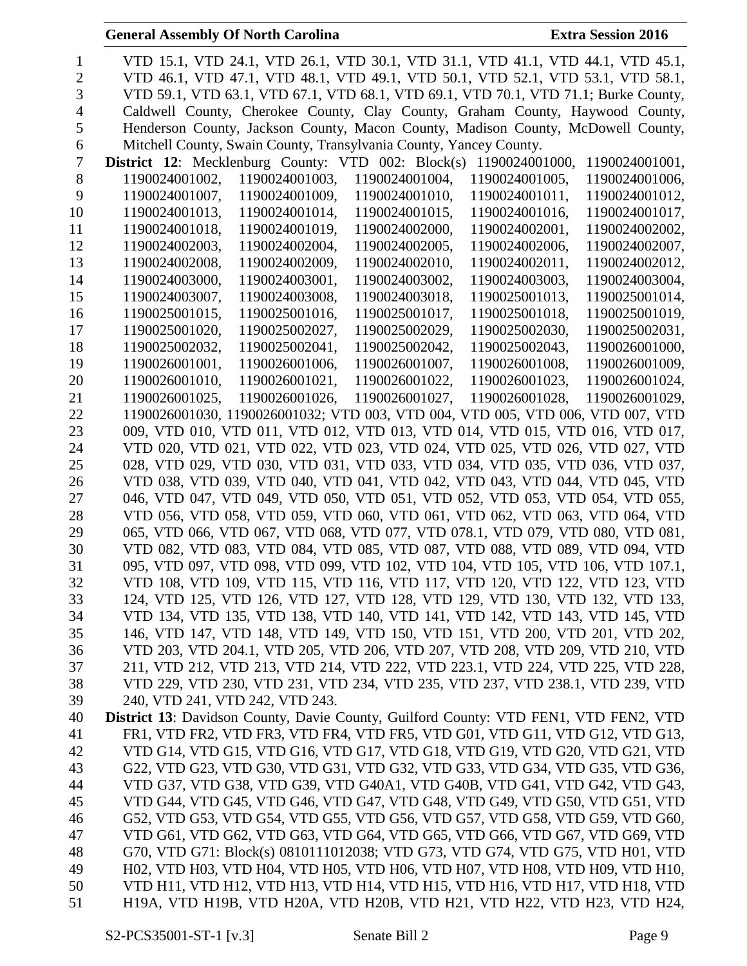| <b>General Assembly Of North Carolina</b><br><b>Extra Session 2016</b>                                                                                        |
|---------------------------------------------------------------------------------------------------------------------------------------------------------------|
| VTD 15.1, VTD 24.1, VTD 26.1, VTD 30.1, VTD 31.1, VTD 41.1, VTD 44.1, VTD 45.1,                                                                               |
| VTD 46.1, VTD 47.1, VTD 48.1, VTD 49.1, VTD 50.1, VTD 52.1, VTD 53.1, VTD 58.1,                                                                               |
| VTD 59.1, VTD 63.1, VTD 67.1, VTD 68.1, VTD 69.1, VTD 70.1, VTD 71.1; Burke County,                                                                           |
| Caldwell County, Cherokee County, Clay County, Graham County, Haywood County,                                                                                 |
| Henderson County, Jackson County, Macon County, Madison County, McDowell County,                                                                              |
| Mitchell County, Swain County, Transylvania County, Yancey County.                                                                                            |
| District 12: Mecklenburg County: VTD 002: Block(s) 1190024001000,<br>1190024001001,                                                                           |
| 1190024001003,<br>1190024001002,<br>1190024001004,<br>1190024001005,<br>1190024001006,                                                                        |
| 1190024001007,<br>1190024001009,<br>1190024001010,<br>1190024001011,<br>1190024001012,                                                                        |
| 1190024001013,<br>1190024001014,<br>1190024001015,<br>1190024001016,<br>1190024001017,                                                                        |
| 1190024001018,<br>1190024001019,<br>1190024002000,<br>1190024002001,<br>1190024002002,                                                                        |
| 1190024002003,<br>1190024002004,<br>1190024002005,<br>1190024002006,<br>1190024002007,                                                                        |
| 1190024002008,<br>1190024002009,<br>1190024002010,<br>1190024002011,<br>1190024002012,                                                                        |
| 1190024003000,<br>1190024003001,<br>1190024003002,<br>1190024003003,<br>1190024003004,                                                                        |
| 1190024003007,<br>1190024003008,<br>1190024003018,<br>1190025001013,<br>1190025001014,                                                                        |
| 1190025001015,<br>1190025001016,<br>1190025001017,<br>1190025001018,<br>1190025001019,                                                                        |
| 1190025001020,<br>1190025002027,<br>1190025002029,<br>1190025002030,<br>1190025002031,                                                                        |
| 1190025002032,<br>1190025002041,<br>1190025002042,<br>1190025002043,<br>1190026001000,                                                                        |
| 1190026001001,<br>1190026001006,<br>1190026001007,<br>1190026001008,<br>1190026001009,                                                                        |
| 1190026001010,<br>1190026001021,<br>1190026001022,<br>1190026001023,<br>1190026001024,                                                                        |
| 1190026001025,<br>1190026001026,<br>1190026001027,<br>1190026001028,<br>1190026001029,                                                                        |
| 1190026001030, 1190026001032; VTD 003, VTD 004, VTD 005, VTD 006, VTD 007, VTD                                                                                |
| 009, VTD 010, VTD 011, VTD 012, VTD 013, VTD 014, VTD 015, VTD 016, VTD 017,                                                                                  |
| VTD 020, VTD 021, VTD 022, VTD 023, VTD 024, VTD 025, VTD 026, VTD 027, VTD                                                                                   |
| 028, VTD 029, VTD 030, VTD 031, VTD 033, VTD 034, VTD 035, VTD 036, VTD 037,                                                                                  |
| VTD 038, VTD 039, VTD 040, VTD 041, VTD 042, VTD 043, VTD 044, VTD 045, VTD                                                                                   |
| 046, VTD 047, VTD 049, VTD 050, VTD 051, VTD 052, VTD 053, VTD 054, VTD 055,                                                                                  |
| VTD 056, VTD 058, VTD 059, VTD 060, VTD 061, VTD 062, VTD 063, VTD 064, VTD                                                                                   |
| 065, VTD 066, VTD 067, VTD 068, VTD 077, VTD 078.1, VTD 079, VTD 080, VTD 081,<br>VTD 082, VTD 083, VTD 084, VTD 085, VTD 087, VTD 088, VTD 089, VTD 094, VTD |
| 095, VTD 097, VTD 098, VTD 099, VTD 102, VTD 104, VTD 105, VTD 106, VTD 107.1,                                                                                |
| VTD 108, VTD 109, VTD 115, VTD 116, VTD 117, VTD 120, VTD 122, VTD 123, VTD                                                                                   |
| 124, VTD 125, VTD 126, VTD 127, VTD 128, VTD 129, VTD 130, VTD 132, VTD 133,                                                                                  |
| VTD 134, VTD 135, VTD 138, VTD 140, VTD 141, VTD 142, VTD 143, VTD 145, VTD                                                                                   |
| 146, VTD 147, VTD 148, VTD 149, VTD 150, VTD 151, VTD 200, VTD 201, VTD 202,                                                                                  |
| VTD 203, VTD 204.1, VTD 205, VTD 206, VTD 207, VTD 208, VTD 209, VTD 210, VTD                                                                                 |
| 211, VTD 212, VTD 213, VTD 214, VTD 222, VTD 223.1, VTD 224, VTD 225, VTD 228,                                                                                |
| VTD 229, VTD 230, VTD 231, VTD 234, VTD 235, VTD 237, VTD 238.1, VTD 239, VTD                                                                                 |
| 240, VTD 241, VTD 242, VTD 243.                                                                                                                               |
| <b>District 13:</b> Davidson County, Davie County, Guilford County: VTD FEN1, VTD FEN2, VTD                                                                   |
| FR1, VTD FR2, VTD FR3, VTD FR4, VTD FR5, VTD G01, VTD G11, VTD G12, VTD G13,                                                                                  |
| VTD G14, VTD G15, VTD G16, VTD G17, VTD G18, VTD G19, VTD G20, VTD G21, VTD                                                                                   |
| G22, VTD G23, VTD G30, VTD G31, VTD G32, VTD G33, VTD G34, VTD G35, VTD G36,                                                                                  |
| VTD G37, VTD G38, VTD G39, VTD G40A1, VTD G40B, VTD G41, VTD G42, VTD G43,                                                                                    |
| VTD G44, VTD G45, VTD G46, VTD G47, VTD G48, VTD G49, VTD G50, VTD G51, VTD                                                                                   |
| G52, VTD G53, VTD G54, VTD G55, VTD G56, VTD G57, VTD G58, VTD G59, VTD G60,                                                                                  |
| VTD G61, VTD G62, VTD G63, VTD G64, VTD G65, VTD G66, VTD G67, VTD G69, VTD                                                                                   |
| G70, VTD G71: Block(s) 0810111012038; VTD G73, VTD G74, VTD G75, VTD H01, VTD                                                                                 |
| H02, VTD H03, VTD H04, VTD H05, VTD H06, VTD H07, VTD H08, VTD H09, VTD H10,                                                                                  |
| VTD H11, VTD H12, VTD H13, VTD H14, VTD H15, VTD H16, VTD H17, VTD H18, VTD                                                                                   |
| H19A, VTD H19B, VTD H20A, VTD H20B, VTD H21, VTD H22, VTD H23, VTD H24,                                                                                       |
|                                                                                                                                                               |